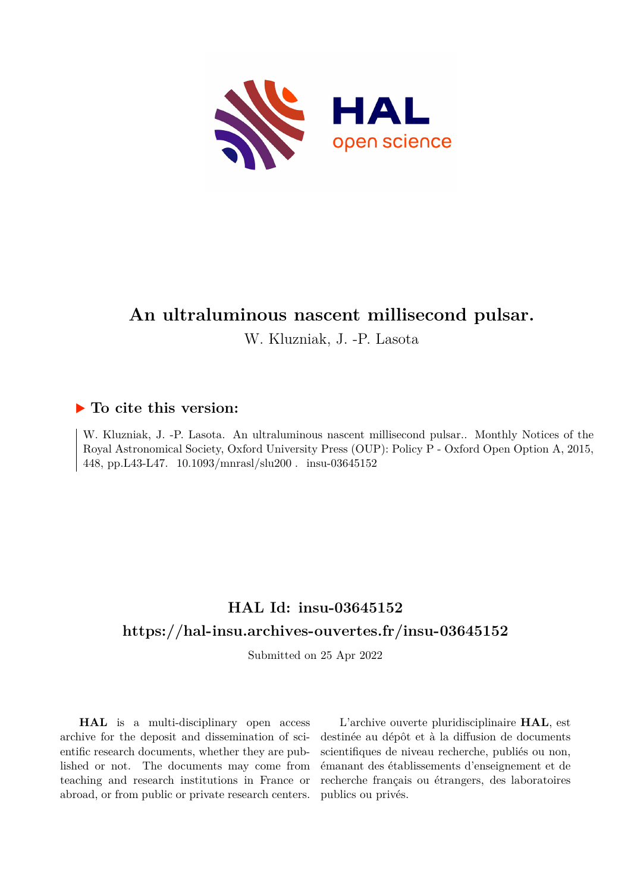

# **An ultraluminous nascent millisecond pulsar.**

W. Kluzniak, J. -P. Lasota

# **To cite this version:**

W. Kluzniak, J. -P. Lasota. An ultraluminous nascent millisecond pulsar.. Monthly Notices of the Royal Astronomical Society, Oxford University Press (OUP): Policy P - Oxford Open Option A, 2015, 448, pp.L43-L47. 10.1093/mnrasl/slu200. insu-03645152

# **HAL Id: insu-03645152 <https://hal-insu.archives-ouvertes.fr/insu-03645152>**

Submitted on 25 Apr 2022

**HAL** is a multi-disciplinary open access archive for the deposit and dissemination of scientific research documents, whether they are published or not. The documents may come from teaching and research institutions in France or abroad, or from public or private research centers.

L'archive ouverte pluridisciplinaire **HAL**, est destinée au dépôt et à la diffusion de documents scientifiques de niveau recherche, publiés ou non, émanant des établissements d'enseignement et de recherche français ou étrangers, des laboratoires publics ou privés.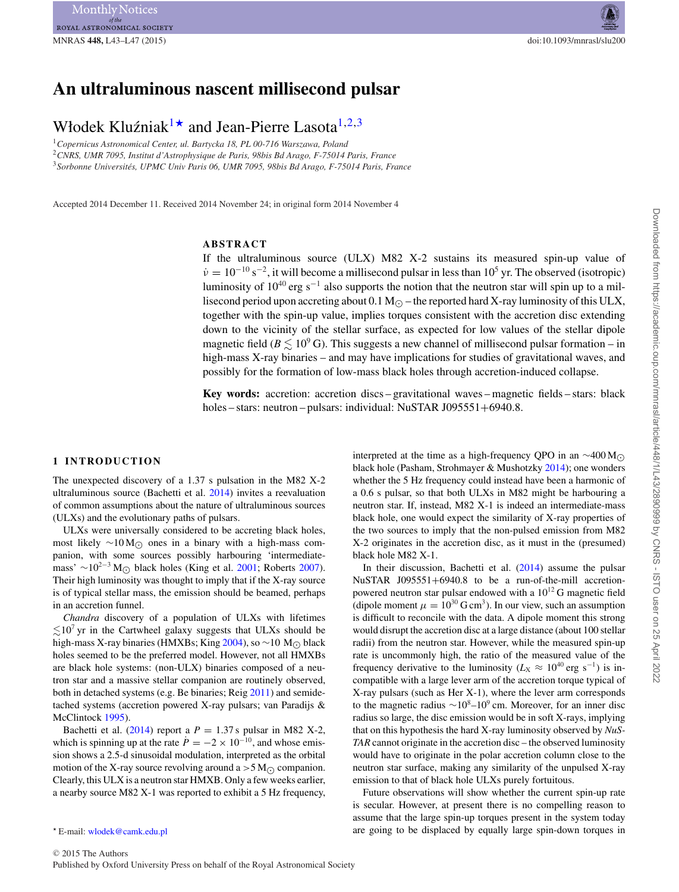# **An ultraluminous nascent millisecond pulsar**

# Włodek Kluźniak<sup>1\*</sup> and Jean-Pierre Lasota<sup>1,2,3</sup>

<sup>1</sup>*Copernicus Astronomical Center, ul. Bartycka 18, PL 00-716 Warszawa, Poland* <sup>2</sup>*CNRS, UMR 7095, Institut d'Astrophysique de Paris, 98bis Bd Arago, F-75014 Paris, France* <sup>3</sup>*Sorbonne Universites, UPMC Univ Paris 06, UMR 7095, 98bis Bd Arago, F-75014 Paris, France ´*

Accepted 2014 December 11. Received 2014 November 24; in original form 2014 November 4

### **ABSTRACT**

If the ultraluminous source (ULX) M82 X-2 sustains its measured spin-up value of  $\dot{v} = 10^{-10} \text{ s}^{-2}$ , it will become a millisecond pulsar in less than 10<sup>5</sup> yr. The observed (isotropic) luminosity of  $10^{40}$  erg s<sup>-1</sup> also supports the notion that the neutron star will spin up to a millisecond period upon accreting about  $0.1 M_{\odot}$  – the reported hard X-ray luminosity of this ULX, together with the spin-up value, implies torques consistent with the accretion disc extending down to the vicinity of the stellar surface, as expected for low values of the stellar dipole magnetic field ( $B \lesssim 10^9$  G). This suggests a new channel of millisecond pulsar formation – in high-mass X-ray binaries – and may have implications for studies of gravitational waves, and possibly for the formation of low-mass black holes through accretion-induced collapse.

**Key words:** accretion: accretion discs – gravitational waves – magnetic fields – stars: black holes – stars: neutron – pulsars: individual: NuSTAR J095551+6940.8.

#### **1 INTRODUCTION**

The unexpected discovery of a 1.37 s pulsation in the M82 X-2 ultraluminous source (Bachetti et al. 2014) invites a reevaluation of common assumptions about the nature of ultraluminous sources (ULXs) and the evolutionary paths of pulsars.

ULXs were universally considered to be accreting black holes, most likely ∼10 M<sub> $\odot$ </sub> ones in a binary with a high-mass companion, with some sources possibly harbouring 'intermediatemass' ∼10<sup>2−3</sup> M<sub>○</sub> black holes (King et al. 2001; Roberts 2007). Their high luminosity was thought to imply that if the X-ray source is of typical stellar mass, the emission should be beamed, perhaps in an accretion funnel.

*Chandra* discovery of a population of ULXs with lifetimes  $\lesssim$ 10<sup>7</sup> yr in the Cartwheel galaxy suggests that ULXs should be high-mass X-ray binaries (HMXBs; King 2004), so ∼10 M<sub>O</sub> black holes seemed to be the preferred model. However, not all HMXBs are black hole systems: (non-ULX) binaries composed of a neutron star and a massive stellar companion are routinely observed, both in detached systems (e.g. Be binaries; Reig 2011) and semidetached systems (accretion powered X-ray pulsars; van Paradijs & McClintock 1995).

Bachetti et al.  $(2014)$  report a  $P = 1.37$  s pulsar in M82 X-2, which is spinning up at the rate  $\dot{P} = -2 \times 10^{-10}$ , and whose emission shows a 2.5-d sinusoidal modulation, interpreted as the orbital motion of the X-ray source revolving around a  $>5 M_{\odot}$  companion. Clearly, this ULX is a neutron star HMXB. Only a few weeks earlier, a nearby source M82 X-1 was reported to exhibit a 5 Hz frequency,

interpreted at the time as a high-frequency QPO in an  $\sim$ 400 M<sub>∩</sub> black hole (Pasham, Strohmayer & Mushotzky 2014); one wonders whether the 5 Hz frequency could instead have been a harmonic of a 0.6 s pulsar, so that both ULXs in M82 might be harbouring a neutron star. If, instead, M82 X-1 is indeed an intermediate-mass black hole, one would expect the similarity of X-ray properties of the two sources to imply that the non-pulsed emission from M82 X-2 originates in the accretion disc, as it must in the (presumed) black hole M82 X-1.

In their discussion, Bachetti et al. (2014) assume the pulsar NuSTAR J095551+6940.8 to be a run-of-the-mill accretionpowered neutron star pulsar endowed with a  $10^{12}$  G magnetic field (dipole moment  $\mu = 10^{30}$  G cm<sup>3</sup>). In our view, such an assumption is difficult to reconcile with the data. A dipole moment this strong would disrupt the accretion disc at a large distance (about 100 stellar radii) from the neutron star. However, while the measured spin-up rate is uncommonly high, the ratio of the measured value of the frequency derivative to the luminosity ( $L_X \approx 10^{40}$  erg s<sup>-1</sup>) is incompatible with a large lever arm of the accretion torque typical of X-ray pulsars (such as Her X-1), where the lever arm corresponds to the magnetic radius  $\sim 10^8 - 10^9$  cm. Moreover, for an inner disc radius so large, the disc emission would be in soft X-rays, implying that on this hypothesis the hard X-ray luminosity observed by *NuS-TAR* cannot originate in the accretion disc – the observed luminosity would have to originate in the polar accretion column close to the neutron star surface, making any similarity of the unpulsed X-ray emission to that of black hole ULXs purely fortuitous.

Future observations will show whether the current spin-up rate is secular. However, at present there is no compelling reason to assume that the large spin-up torques present in the system today are going to be displaced by equally large spin-down torques in

E-mail: [wlodek@camk.edu.pl](mailto:wlodek@camk.edu.pl)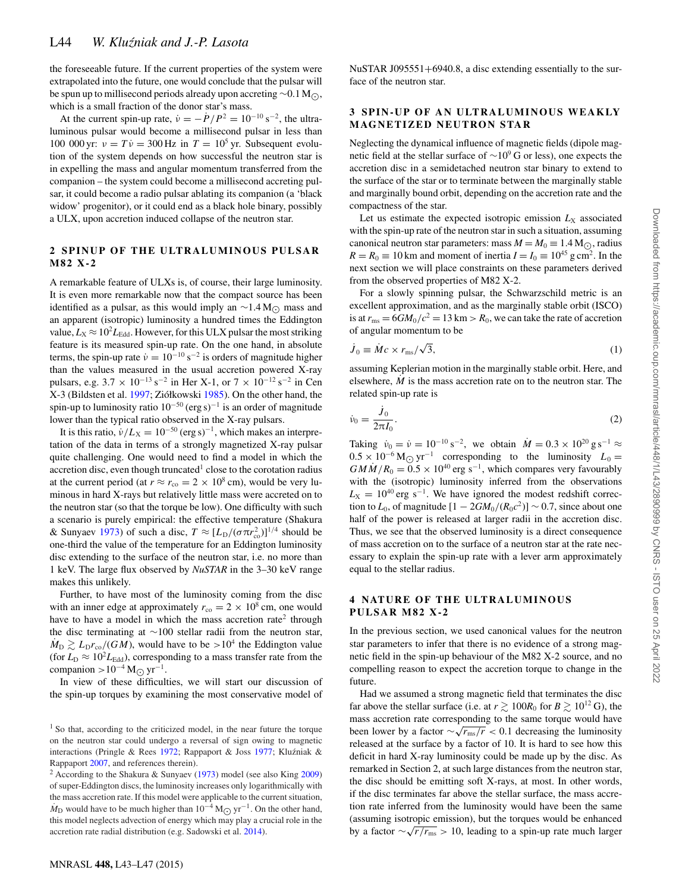the foreseeable future. If the current properties of the system were extrapolated into the future, one would conclude that the pulsar will be spun up to millisecond periods already upon accreting ∼0.1 M<sub>☉</sub>,<br>which is a small fraction of the dance star's mass which is a small fraction of the donor star's mass.

At the current spin-up rate,  $v = -P/P^2 = 10^{-10}$  s<sup>-2</sup>, the ultraluminous pulsar would become a millisecond pulsar in less than 100 000 yr:  $v = T\dot{v} = 300$  Hz in  $T = 10^5$  yr. Subsequent evolution of the system depends on how successful the neutron star is in expelling the mass and angular momentum transferred from the companion – the system could become a millisecond accreting pulsar, it could become a radio pulsar ablating its companion (a 'black widow' progenitor), or it could end as a black hole binary, possibly a ULX, upon accretion induced collapse of the neutron star.

#### **2 SPINUP OF THE ULTRALUMINOUS PULSAR M82 X-2**

A remarkable feature of ULXs is, of course, their large luminosity. It is even more remarkable now that the compact source has been identified as a pulsar, as this would imply an  $\sim$ 1.4 M<sub>O</sub> mass and an apparent (isotropic) luminosity a hundred times the Eddington value,  $L_X \approx 10^2 L_{\text{Edd}}$ . However, for this ULX pulsar the most striking feature is its measured spin-up rate. On the one hand, in absolute terms, the spin-up rate  $\dot{v} = 10^{-10} \text{ s}^{-2}$  is orders of magnitude higher than the values measured in the usual accretion powered X-ray pulsars, e.g.  $3.7 \times 10^{-13}$  s<sup>-2</sup> in Her X-1, or  $7 \times 10^{-12}$  s<sup>-2</sup> in Cen X-3 (Bildsten et al. 1997; Ziółkowski 1985). On the other hand, the spin-up to luminosity ratio  $10^{-50}$  (erg s)<sup>-1</sup> is an order of magnitude lower than the typical ratio observed in the X-ray pulsars.

It is this ratio,  $\dot{v}/L_{\rm X} = 10^{-50}$  (erg s)<sup>-1</sup>, which makes an interpretation of the data in terms of a strongly magnetized X-ray pulsar quite challenging. One would need to find a model in which the accretion disc, even though truncated<sup>1</sup> close to the corotation radius at the current period (at  $r \approx r_{\rm co} = 2 \times 10^8$  cm), would be very luminous in hard X-rays but relatively little mass were accreted on to the neutron star (so that the torque be low). One difficulty with such a scenario is purely empirical: the effective temperature (Shakura & Sunyaev 1973) of such a disc,  $T \approx [L_D/(\sigma \pi r_{\rm co}^2)]^{1/4}$  should be one-third the value of the temperature for an Eddington luminosity disc extending to the surface of the neutron star, i.e. no more than 1 keV. The large flux observed by *NuSTAR* in the 3–30 keV range makes this unlikely.

Further, to have most of the luminosity coming from the disc with an inner edge at approximately  $r_{\rm co} = 2 \times 10^8$  cm, one would have to have a model in which the mass accretion rate<sup>2</sup> through the disc terminating at ∼100 stellar radii from the neutron star,  $M_{\rm D} \gtrsim L_{\rm D} r_{\rm co}/(GM)$ , would have to be  $>10^4$  the Eddington value (for  $L_D \approx 10^2 L_{\text{Edd}}$ ), corresponding to a mass transfer rate from the companion >10<sup>-4</sup> M<sub> $\odot$ </sub> yr<sup>-1</sup>.

In view of these difficulties, we will start our discussion of the spin-up torques by examining the most conservative model of

NuSTAR J095551+6940.8, a disc extending essentially to the surface of the neutron star.

## **3 SPIN -UP OF AN ULTRALUMINOUS WEAKLY MAGNETIZED NEUTRON STAR**

Neglecting the dynamical influence of magnetic fields (dipole magnetic field at the stellar surface of  $\sim$ 10<sup>9</sup>G or less), one expects the accretion disc in a semidetached neutron star binary to extend to the surface of the star or to terminate between the marginally stable and marginally bound orbit, depending on the accretion rate and the compactness of the star.

Let us estimate the expected isotropic emission  $L_X$  associated with the spin-up rate of the neutron star in such a situation, assuming canonical neutron star parameters: mass  $M = M_0 \equiv 1.4 \text{ M}_{\odot}$ , radius<br> $R = R_0 = 10 \text{ km}$ , and magnetic finantia  $I = I_0 = 10^{45}$ , and  $I_0 = 10^{45}$  $R = R_0 \equiv 10$  km and moment of inertia  $I = I_0 \equiv 10^{45}$  g cm<sup>2</sup>. In the next section we will place constraints on these parameters derived from the observed properties of M82 X-2.

For a slowly spinning pulsar, the Schwarzschild metric is an excellent approximation, and as the marginally stable orbit (ISCO) is at  $r_{\text{ms}} = 6GM_0/c^2 = 13 \text{ km} > R_0$ , we can take the rate of accretion of angular momentum to be

$$
\dot{J}_0 \equiv \dot{M}c \times r_{\rm ms}/\sqrt{3},\tag{1}
$$

assuming Keplerian motion in the marginally stable orbit. Here, and elsewhere,  $\dot{M}$  is the mass accretion rate on to the neutron star. The related spin-up rate is

$$
\dot{\nu}_0 = \frac{\dot{J}_0}{2\pi I_0}.
$$
\n(2)

Taking  $\dot{v}_0 = \dot{v} = 10^{-10} \text{ s}^{-2}$ , we obtain  $\dot{M} = 0.3 \times 10^{20} \text{ g s}^{-1} \approx$  $0.5 \times 10^{-6}$  M<sub>O</sub> yr<sup>-1</sup> corresponding to the luminosity  $L_0 =$ <br>  $0.5 \times 10^{40}$  = 1.1.1  $GM\dot{M}/R_0 = 0.5 \times 10^{40}$  erg s<sup>-1</sup>, which compares very favourably with the (isotropic) luminosity inferred from the observations  $L_X = 10^{40}$  erg s<sup>-1</sup>. We have ignored the modest redshift correction to  $L_0$ , of magnitude  $[1 - 2GM_0/(R_0c^2)] \sim 0.7$ , since about one half of the power is released at larger radii in the accretion disc. Thus, we see that the observed luminosity is a direct consequence of mass accretion on to the surface of a neutron star at the rate necessary to explain the spin-up rate with a lever arm approximately equal to the stellar radius.

## **4 NATURE OF THE ULTRALUMINOUS PULSAR M82 X-2**

In the previous section, we used canonical values for the neutron star parameters to infer that there is no evidence of a strong magnetic field in the spin-up behaviour of the M82 X-2 source, and no compelling reason to expect the accretion torque to change in the future.

Had we assumed a strong magnetic field that terminates the disc far above the stellar surface (i.e. at  $r \gtrsim 100R_0$  for  $B \gtrsim 10^{12}$  G), the mass accretion rate corresponding to the same torque would have been lower by a factor  $\sqrt{r_{\rm ms}/r}$  < 0.1 decreasing the luminosity released at the surface by a factor of 10. It is hard to see how this deficit in hard X-ray luminosity could be made up by the disc. As remarked in Section 2, at such large distances from the neutron star, the disc should be emitting soft X-rays, at most. In other words, if the disc terminates far above the stellar surface, the mass accretion rate inferred from the luminosity would have been the same (assuming isotropic emission), but the torques would be enhanced by a factor  $\sqrt{r/r_{\rm ms}} > 10$ , leading to a spin-up rate much larger

<sup>&</sup>lt;sup>1</sup> So that, according to the criticized model, in the near future the torque on the neutron star could undergo a reversal of sign owing to magnetic interactions (Pringle & Rees 1972; Rappaport & Joss 1977; Kluzniak & ´ Rappaport 2007, and references therein).

<sup>2</sup> According to the Shakura & Sunyaev (1973) model (see also King 2009) of super-Eddington discs, the luminosity increases only logarithmically with the mass accretion rate. If this model were applicable to the current situation,  $\dot{M}_{\rm D}$  would have to be much higher than  $10^{-4}$  M<sub>O</sub> yr<sup>-1</sup>. On the other hand, this model neglects advection of energy which may play a crucial role in the accretion rate radial distribution (e.g. Sadowski et al. 2014).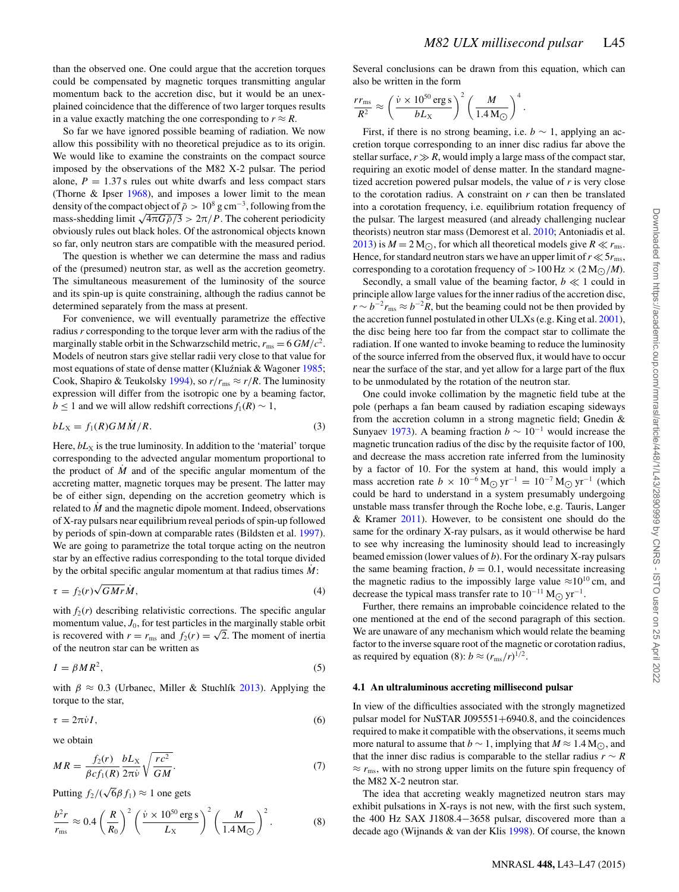.

than the observed one. One could argue that the accretion torques could be compensated by magnetic torques transmitting angular momentum back to the accretion disc, but it would be an unexplained coincidence that the difference of two larger torques results in a value exactly matching the one corresponding to  $r \approx R$ .

So far we have ignored possible beaming of radiation. We now allow this possibility with no theoretical prejudice as to its origin. We would like to examine the constraints on the compact source imposed by the observations of the M82 X-2 pulsar. The period alone,  $P = 1.37$  s rules out white dwarfs and less compact stars (Thorne & Ipser 1968), and imposes a lower limit to the mean density of the compact object of  $\bar{\rho} > 10^8$  g cm<sup>-3</sup>, following from the mass-shedding limit  $\sqrt{4\pi G\bar{\rho}/3} > 2\pi/P$ . The coherent periodicity obviously rules out black holes. Of the astronomical objects known so far, only neutron stars are compatible with the measured period.

The question is whether we can determine the mass and radius of the (presumed) neutron star, as well as the accretion geometry. The simultaneous measurement of the luminosity of the source and its spin-up is quite constraining, although the radius cannot be determined separately from the mass at present.

For convenience, we will eventually parametrize the effective radius *r* corresponding to the torque lever arm with the radius of the marginally stable orbit in the Schwarzschild metric,  $r_{\text{ms}} = 6 \text{ G}M/c^2$ . Models of neutron stars give stellar radii very close to that value for most equations of state of dense matter (Kluźniak & Wagoner  $1985$ ; Cook, Shapiro & Teukolsky 1994), so  $r/r_{\text{ms}} \approx r/R$ . The luminosity expression will differ from the isotropic one by a beaming factor, *b* ≤ 1 and we will allow redshift corrections  $f_1(R)$  ∼ 1,

$$
bL_X = f_1(R)GM\dot{M}/R.
$$
\n(3)

Here,  $bL_X$  is the true luminosity. In addition to the 'material' torque corresponding to the advected angular momentum proportional to the product of  $M$  and of the specific angular momentum of the accreting matter, magnetic torques may be present. The latter may be of either sign, depending on the accretion geometry which is related to  $\dot{M}$  and the magnetic dipole moment. Indeed, observations of X-ray pulsars near equilibrium reveal periods of spin-up followed by periods of spin-down at comparable rates (Bildsten et al. 1997). We are going to parametrize the total torque acting on the neutron star by an effective radius corresponding to the total torque divided by the orbital specific angular momentum at that radius times  $\dot{M}$ :

$$
\tau = f_2(r)\sqrt{GMr}\dot{M},\tag{4}
$$

with  $f_2(r)$  describing relativistic corrections. The specific angular momentum value,  $J_0$ , for test particles in the marginally stable orbit is recovered with  $r = r_{\text{ms}}$  and  $f_2(r) = \sqrt{2}$ . The moment of inertia of the neutron star can be written as

$$
I = \beta M R^2,\tag{5}
$$

with  $\beta \approx 0.3$  (Urbanec, Miller & Stuchlík 2013). Applying the torque to the star,

$$
\tau = 2\pi \dot{\nu} I,\tag{6}
$$

we obtain

$$
MR = \frac{f_2(r)}{\beta c f_1(R)} \frac{bL_X}{2\pi \nu} \sqrt{\frac{rc^2}{GM}}.
$$
 (7)

Putting  $f_2/(\sqrt{6}\beta f_1) \approx 1$  one gets

$$
\frac{b^2r}{r_{\text{ms}}} \approx 0.4 \left(\frac{R}{R_0}\right)^2 \left(\frac{\dot{\nu} \times 10^{50} \text{ erg s}}{L_{\text{X}}}\right)^2 \left(\frac{M}{1.4 \text{ M}_{\odot}}\right)^2.
$$
 (8)

Several conclusions can be drawn from this equation, which can also be written in the form

$$
\frac{rr_{\rm ms}}{R^2} \approx \left(\frac{\dot{v} \times 10^{50} \,\rm erg \,s}{bL_{\rm X}}\right)^2 \left(\frac{M}{1.4 \,\rm M_{\odot}}\right)^4
$$

First, if there is no strong beaming, i.e.  $b \sim 1$ , applying an accretion torque corresponding to an inner disc radius far above the stellar surface,  $r \gg R$ , would imply a large mass of the compact star, requiring an exotic model of dense matter. In the standard magnetized accretion powered pulsar models, the value of *r* is very close to the corotation radius. A constraint on *r* can then be translated into a corotation frequency, i.e. equilibrium rotation frequency of the pulsar. The largest measured (and already challenging nuclear theorists) neutron star mass (Demorest et al. 2010; Antoniadis et al.  $2013$ ) is  $M = 2 M_{\odot}$ , for which all theoretical models give  $R \ll r_{\rm ms}$ . Hence, for standard neutron stars we have an upper limit of  $r \ll 5r_{\rm ms}$ , corresponding to a corotation frequency of  $> 100$  Hz  $\times$  (2 M<sub>O</sub>/*M*).

Secondly, a small value of the beaming factor,  $b \ll 1$  could in principle allow large values for the inner radius of the accretion disc,  $r \sim b^{-2}r_{\text{ms}} \approx b^{-2}R$ , but the beaming could not be then provided by the accretion funnel postulated in other ULXs (e.g. King et al. 2001), the disc being here too far from the compact star to collimate the radiation. If one wanted to invoke beaming to reduce the luminosity of the source inferred from the observed flux, it would have to occur near the surface of the star, and yet allow for a large part of the flux to be unmodulated by the rotation of the neutron star.

One could invoke collimation by the magnetic field tube at the pole (perhaps a fan beam caused by radiation escaping sideways from the accretion column in a strong magnetic field; Gnedin  $\&$ Sunyaev 1973). A beaming fraction  $b \sim 10^{-1}$  would increase the magnetic truncation radius of the disc by the requisite factor of 100, and decrease the mass accretion rate inferred from the luminosity by a factor of 10. For the system at hand, this would imply a mass accretion rate  $b \times 10^{-6}$  M<sub>O</sub> yr<sup>-1</sup> = 10<sup>-7</sup> M<sub>O</sub> yr<sup>-1</sup> (which could be hard to understand in a system presumably undergoing unstable mass transfer through the Roche lobe, e.g. Tauris, Langer & Kramer 2011). However, to be consistent one should do the same for the ordinary X-ray pulsars, as it would otherwise be hard to see why increasing the luminosity should lead to increasingly beamed emission (lower values of *b*). For the ordinary X-ray pulsars the same beaming fraction,  $b = 0.1$ , would necessitate increasing the magnetic radius to the impossibly large value  $\approx 10^{10}$  cm, and decrease the typical mass transfer rate to  $10^{-11}$  M<sub> $\odot$ </sub> yr<sup>-1</sup>.

Further, there remains an improbable coincidence related to the one mentioned at the end of the second paragraph of this section. We are unaware of any mechanism which would relate the beaming factor to the inverse square root of the magnetic or corotation radius, as required by equation (8):  $b \approx (r_{\text{ms}}/r)^{1/2}$ .

#### **4.1 An ultraluminous accreting millisecond pulsar**

In view of the difficulties associated with the strongly magnetized pulsar model for NuSTAR J095551+6940.8, and the coincidences required to make it compatible with the observations, it seems much more natural to assume that *b* ∼ 1, implying that  $M \approx 1.4 M_{\odot}$ , and that the inner disc radius is comparable to the stellar radius  $r \sim R$  $\approx r_{\rm ms}$ , with no strong upper limits on the future spin frequency of the M82 X-2 neutron star.

The idea that accreting weakly magnetized neutron stars may exhibit pulsations in X-rays is not new, with the first such system, the 400 Hz SAX J1808.4−3658 pulsar, discovered more than a decade ago (Wijnands & van der Klis 1998). Of course, the known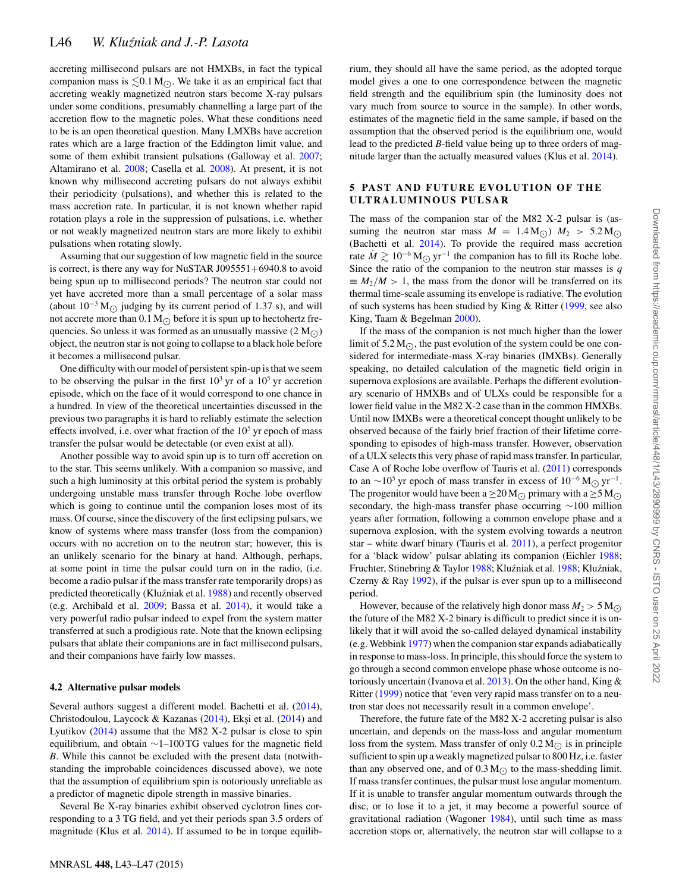accreting millisecond pulsars are not HMXBs, in fact the typical companion mass is  $\leq 0.1 \,\mathrm{M}_{\odot}$ . We take it as an empirical fact that accreting weakly magnetized neutron stars become X-ray pulsars under some conditions, presumably channelling a large part of the accretion flow to the magnetic poles. What these conditions need to be is an open theoretical question. Many LMXBs have accretion rates which are a large fraction of the Eddington limit value, and some of them exhibit transient pulsations (Galloway et al. 2007; Altamirano et al. 2008; Casella et al. 2008). At present, it is not known why millisecond accreting pulsars do not always exhibit their periodicity (pulsations), and whether this is related to the mass accretion rate. In particular, it is not known whether rapid rotation plays a role in the suppression of pulsations, i.e. whether or not weakly magnetized neutron stars are more likely to exhibit pulsations when rotating slowly.

Assuming that our suggestion of low magnetic field in the source is correct, is there any way for NuSTAR J095551+6940.8 to avoid being spun up to millisecond periods? The neutron star could not yet have accreted more than a small percentage of a solar mass (about  $10^{-3}$  M<sub> $\odot$ </sub> judging by its current period of 1.37 s), and will not accrete more than  $0.1 M_{\odot}$  before it is spun up to hectohertz frequencies. So unless it was formed as an unusually massive  $(2 M_{\odot})$ object, the neutron star is not going to collapse to a black hole before it becomes a millisecond pulsar.

One difficulty with our model of persistent spin-up is that we seem to be observing the pulsar in the first  $10^3$  yr of a  $10^5$  yr accretion episode, which on the face of it would correspond to one chance in a hundred. In view of the theoretical uncertainties discussed in the previous two paragraphs it is hard to reliably estimate the selection effects involved, i.e. over what fraction of the  $10<sup>5</sup>$  yr epoch of mass transfer the pulsar would be detectable (or even exist at all).

Another possible way to avoid spin up is to turn off accretion on to the star. This seems unlikely. With a companion so massive, and such a high luminosity at this orbital period the system is probably undergoing unstable mass transfer through Roche lobe overflow which is going to continue until the companion loses most of its mass. Of course, since the discovery of the first eclipsing pulsars, we know of systems where mass transfer (loss from the companion) occurs with no accretion on to the neutron star; however, this is an unlikely scenario for the binary at hand. Although, perhaps, at some point in time the pulsar could turn on in the radio, (i.e. become a radio pulsar if the mass transfer rate temporarily drops) as predicted theoretically (Kluźniak et al. 1988) and recently observed (e.g. Archibald et al. 2009; Bassa et al. 2014), it would take a very powerful radio pulsar indeed to expel from the system matter transferred at such a prodigious rate. Note that the known eclipsing pulsars that ablate their companions are in fact millisecond pulsars, and their companions have fairly low masses.

#### **4.2 Alternative pulsar models**

Several authors suggest a different model. Bachetti et al. (2014), Christodoulou, Laycock & Kazanas (2014), Ekşi et al. (2014) and Lyutikov (2014) assume that the M82 X-2 pulsar is close to spin equilibrium, and obtain ∼1–100 TG values for the magnetic field *B*. While this cannot be excluded with the present data (notwithstanding the improbable coincidences discussed above), we note that the assumption of equilibrium spin is notoriously unreliable as a predictor of magnetic dipole strength in massive binaries.

Several Be X-ray binaries exhibit observed cyclotron lines corresponding to a 3 TG field, and yet their periods span 3.5 orders of magnitude (Klus et al. 2014). If assumed to be in torque equilibrium, they should all have the same period, as the adopted torque model gives a one to one correspondence between the magnetic field strength and the equilibrium spin (the luminosity does not vary much from source to source in the sample). In other words, estimates of the magnetic field in the same sample, if based on the assumption that the observed period is the equilibrium one, would lead to the predicted *B*-field value being up to three orders of magnitude larger than the actually measured values (Klus et al. 2014).

#### **5 PAST AND FUTURE EVOLUTION OF THE ULTRALUMINOUS PULSAR**

The mass of the companion star of the M82 X-2 pulsar is (assuming the neutron star mass  $M = 1.4 M_{\odot}$ )  $M_2 > 5.2 M_{\odot}$ <br>(Dashatti at al. 2014). To assaid the namived west assertion (Bachetti et al. 2014). To provide the required mass accretion rate  $M \gtrsim 10^{-6} M_{\odot} \text{ yr}^{-1}$  the companion has to fill its Roche lobe. Since the ratio of the companion to the neutron star masses is *q*  $\equiv M_2/M > 1$ , the mass from the donor will be transferred on its thermal time-scale assuming its envelope is radiative. The evolution of such systems has been studied by King & Ritter (1999, see also King, Taam & Begelman 2000).

If the mass of the companion is not much higher than the lower limit of  $5.2 M_{\odot}$ , the past evolution of the system could be one con-<br>sident for intermediate mass  $X$  are higher (DAYPs). Converted sidered for intermediate-mass X-ray binaries (IMXBs). Generally speaking, no detailed calculation of the magnetic field origin in supernova explosions are available. Perhaps the different evolutionary scenario of HMXBs and of ULXs could be responsible for a lower field value in the M82 X-2 case than in the common HMXBs. Until now IMXBs were a theoretical concept thought unlikely to be observed because of the fairly brief fraction of their lifetime corresponding to episodes of high-mass transfer. However, observation of a ULX selects this very phase of rapid mass transfer. In particular, Case A of Roche lobe overflow of Tauris et al. (2011) corresponds to an ∼10<sup>5</sup> yr epoch of mass transfer in excess of  $10^{-6}$  M<sub>O</sub> yr<sup>-1</sup>. The progenitor would have been a  $\geq$  20 M<sub> $\odot$ </sub> primary with a  $\geq$  5 M $\odot$ secondary, the high-mass transfer phase occurring ∼100 million years after formation, following a common envelope phase and a supernova explosion, with the system evolving towards a neutron star – white dwarf binary (Tauris et al. 2011), a perfect progenitor for a 'black widow' pulsar ablating its companion (Eichler 1988; Fruchter, Stinebring & Taylor 1988; Kluźniak et al. 1988; Kluźniak, Czerny & Ray 1992), if the pulsar is ever spun up to a millisecond period.

However, because of the relatively high donor mass  $M_2 > 5$  M<sub> $\odot$ </sub> the future of the M82 X-2 binary is difficult to predict since it is unlikely that it will avoid the so-called delayed dynamical instability (e.g. Webbink 1977) when the companion star expands adiabatically in response to mass-loss. In principle, this should force the system to go through a second common envelope phase whose outcome is notoriously uncertain (Ivanova et al. 2013). On the other hand, King & Ritter (1999) notice that 'even very rapid mass transfer on to a neutron star does not necessarily result in a common envelope'.

Therefore, the future fate of the M82 X-2 accreting pulsar is also uncertain, and depends on the mass-loss and angular momentum loss from the system. Mass transfer of only  $0.2 M_{\odot}$  is in principle sufficient to spin up a weakly magnetized pulsar to 800 Hz, i.e. faster than any observed one, and of  $0.3 M_{\odot}$  to the mass-shedding limit. If mass transfer continues, the pulsar must lose angular momentum. If it is unable to transfer angular momentum outwards through the disc, or to lose it to a jet, it may become a powerful source of gravitational radiation (Wagoner 1984), until such time as mass accretion stops or, alternatively, the neutron star will collapse to a